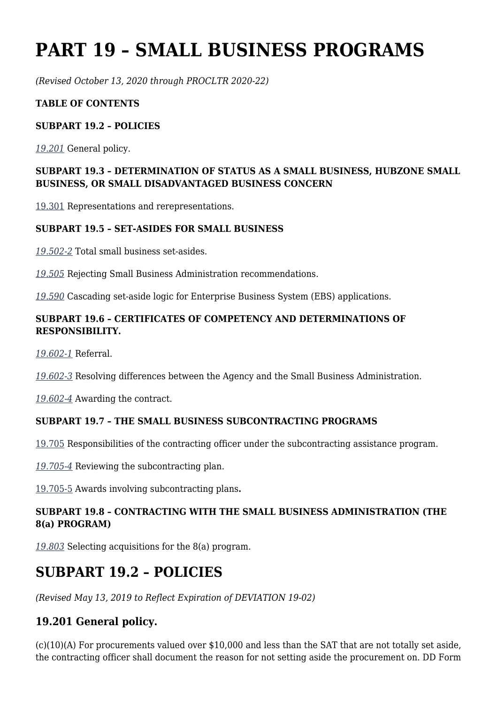# **PART 19 – SMALL BUSINESS PROGRAMS**

*(Revised October 13, 2020 through PROCLTR 2020-22)*

#### **TABLE OF CONTENTS**

#### **SUBPART 19.2 – POLICIES**

*[19.201](https://www.acquisition.gov/%5Brp:link:dlad-part-19%5D#P19_201)* General policy.

#### **SUBPART 19.3 – DETERMINATION OF STATUS AS A SMALL BUSINESS, HUBZONE SMALL BUSINESS, OR SMALL DISADVANTAGED BUSINESS CONCERN**

[19.301](https://www.acquisition.gov/%5Brp:link:dlad-part-19%5D#P19_301) Representations and rerepresentations.

#### **SUBPART 19.5 – SET‑ASIDES FOR SMALL BUSINESS**

*[19.502-2](https://www.acquisition.gov/%5Brp:link:dlad-part-19%5D#P19_502_2)* Total small business set-asides.

*[19.505](https://www.acquisition.gov/%5Brp:link:dlad-part-19%5D#P19_505)* Rejecting Small Business Administration recommendations.

*[19.590](https://www.acquisition.gov/%5Brp:link:dlad-part-19%5D#P19_590)* Cascading set-aside logic for Enterprise Business System (EBS) applications.

#### **SUBPART 19.6 – CERTIFICATES OF COMPETENCY AND DETERMINATIONS OF RESPONSIBILITY.**

*[19.602-1](https://www.acquisition.gov/%5Brp:link:dlad-part-19%5D#P19_602_1)* Referral.

*[19.602-3](https://www.acquisition.gov/%5Brp:link:dlad-part-19%5D#P19_602_3)* Resolving differences between the Agency and the Small Business Administration.

*[19.602-4](https://www.acquisition.gov/%5Brp:link:dlad-part-19%5D#P19_602_4)* Awarding the contract.

#### **SUBPART 19.7 – THE SMALL BUSINESS SUBCONTRACTING PROGRAMS**

[19.705](https://www.acquisition.gov/%5Brp:link:dlad-part-19%5D#P19_705) Responsibilities of the contracting officer under the subcontracting assistance program.

*[19.705-4](https://www.acquisition.gov/%5Brp:link:dlad-part-19%5D#P19_705_4)* Reviewing the subcontracting plan.

[19.705-5](https://www.acquisition.gov/%5Brp:link:dlad-part-19%5D#P19_705_5) Awards involving subcontracting plans**.**

#### **SUBPART 19.8 – CONTRACTING WITH THE SMALL BUSINESS ADMINISTRATION (THE 8(a) PROGRAM)**

*[19.803](https://www.acquisition.gov/%5Brp:link:dlad-part-19%5D#P19_803)* Selecting acquisitions for the 8(a) program.

## **SUBPART 19.2 – POLICIES**

*(Revised May 13, 2019 to Reflect Expiration of DEVIATION 19-02)*

## **19.201 General policy.**

(c)(10)(A) For procurements valued over \$10,000 and less than the SAT that are not totally set aside, the contracting officer shall document the reason for not setting aside the procurement on. DD Form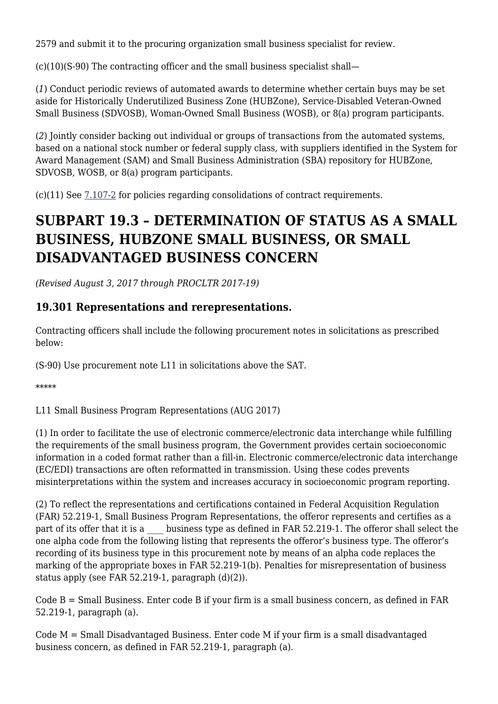2579 and submit it to the procuring organization small business specialist for review.

(c)(10)(S-90) The contracting officer and the small business specialist shall—

(*1*) Conduct periodic reviews of automated awards to determine whether certain buys may be set aside for Historically Underutilized Business Zone (HUBZone), Service-Disabled Veteran-Owned Small Business (SDVOSB), Woman-Owned Small Business (WOSB), or 8(a) program participants.

(*2*) Jointly consider backing out individual or groups of transactions from the automated systems, based on a national stock number or federal supply class, with suppliers identified in the System for Award Management (SAM) and Small Business Administration (SBA) repository for HUBZone, SDVOSB, WOSB, or 8(a) program participants.

(c)(11) See [7.107-2](https://www.acquisition.gov/%5Brp:link:dlad-part-7%5D#P7_107_2) for policies regarding consolidations of contract requirements.

## **SUBPART 19.3 – DETERMINATION OF STATUS AS A SMALL BUSINESS, HUBZONE SMALL BUSINESS, OR SMALL DISADVANTAGED BUSINESS CONCERN**

*(Revised August 3, 2017 through PROCLTR 2017-19)*

### **19.301 Representations and rerepresentations.**

Contracting officers shall include the following procurement notes in solicitations as prescribed below:

(S-90) Use procurement note L11 in solicitations above the SAT.

\*\*\*\*\*

L11 Small Business Program Representations (AUG 2017)

(1) In order to facilitate the use of electronic commerce/electronic data interchange while fulfilling the requirements of the small business program, the Government provides certain socioeconomic information in a coded format rather than a fill-in. Electronic commerce/electronic data interchange (EC/EDI) transactions are often reformatted in transmission. Using these codes prevents misinterpretations within the system and increases accuracy in socioeconomic program reporting.

(2) To reflect the representations and certifications contained in Federal Acquisition Regulation (FAR) 52.219-1, Small Business Program Representations, the offeror represents and certifies as a part of its offer that it is a \_\_\_\_ business type as defined in FAR 52.219-1. The offeror shall select the one alpha code from the following listing that represents the offeror's business type. The offeror's recording of its business type in this procurement note by means of an alpha code replaces the marking of the appropriate boxes in FAR 52.219-1(b). Penalties for misrepresentation of business status apply (see FAR 52.219-1, paragraph (d)(2)).

Code  $B = S$ mall Business. Enter code B if your firm is a small business concern, as defined in FAR 52.219-1, paragraph (a).

Code M = Small Disadvantaged Business. Enter code M if your firm is a small disadvantaged business concern, as defined in FAR 52.219-1, paragraph (a).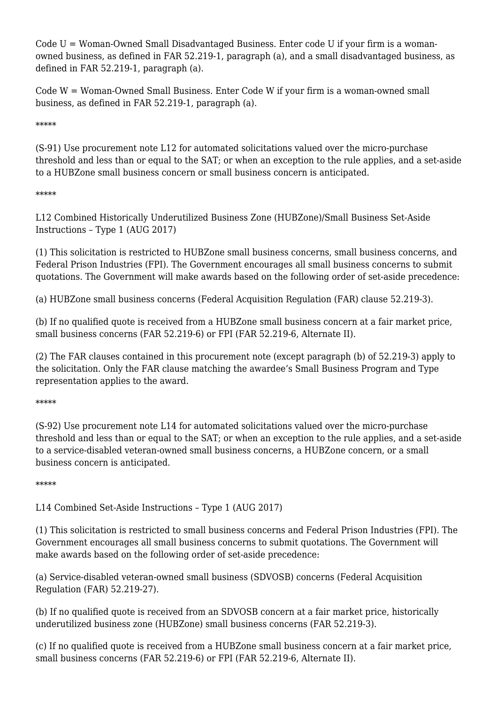Code U = Woman-Owned Small Disadvantaged Business. Enter code U if your firm is a womanowned business, as defined in FAR 52.219-1, paragraph (a), and a small disadvantaged business, as defined in FAR 52.219-1, paragraph (a).

Code W = Woman-Owned Small Business. Enter Code W if your firm is a woman-owned small business, as defined in FAR 52.219-1, paragraph (a).

\*\*\*\*\*

(S-91) Use procurement note L12 for automated solicitations valued over the micro-purchase threshold and less than or equal to the SAT; or when an exception to the rule applies, and a set-aside to a HUBZone small business concern or small business concern is anticipated.

\*\*\*\*\*

L12 Combined Historically Underutilized Business Zone (HUBZone)/Small Business Set-Aside Instructions – Type 1 (AUG 2017)

(1) This solicitation is restricted to HUBZone small business concerns, small business concerns, and Federal Prison Industries (FPI). The Government encourages all small business concerns to submit quotations. The Government will make awards based on the following order of set-aside precedence:

(a) HUBZone small business concerns (Federal Acquisition Regulation (FAR) clause 52.219-3).

(b) If no qualified quote is received from a HUBZone small business concern at a fair market price, small business concerns (FAR 52.219-6) or FPI (FAR 52.219-6, Alternate II).

(2) The FAR clauses contained in this procurement note (except paragraph (b) of 52.219-3) apply to the solicitation. Only the FAR clause matching the awardee's Small Business Program and Type representation applies to the award.

\*\*\*\*\*

(S-92) Use procurement note L14 for automated solicitations valued over the micro-purchase threshold and less than or equal to the SAT; or when an exception to the rule applies, and a set-aside to a service-disabled veteran-owned small business concerns, a HUBZone concern, or a small business concern is anticipated.

\*\*\*\*\*

L14 Combined Set-Aside Instructions – Type 1 (AUG 2017)

(1) This solicitation is restricted to small business concerns and Federal Prison Industries (FPI). The Government encourages all small business concerns to submit quotations. The Government will make awards based on the following order of set-aside precedence:

(a) Service-disabled veteran-owned small business (SDVOSB) concerns (Federal Acquisition Regulation (FAR) 52.219-27).

(b) If no qualified quote is received from an SDVOSB concern at a fair market price, historically underutilized business zone (HUBZone) small business concerns (FAR 52.219-3).

(c) If no qualified quote is received from a HUBZone small business concern at a fair market price, small business concerns (FAR 52.219-6) or FPI (FAR 52.219-6, Alternate II).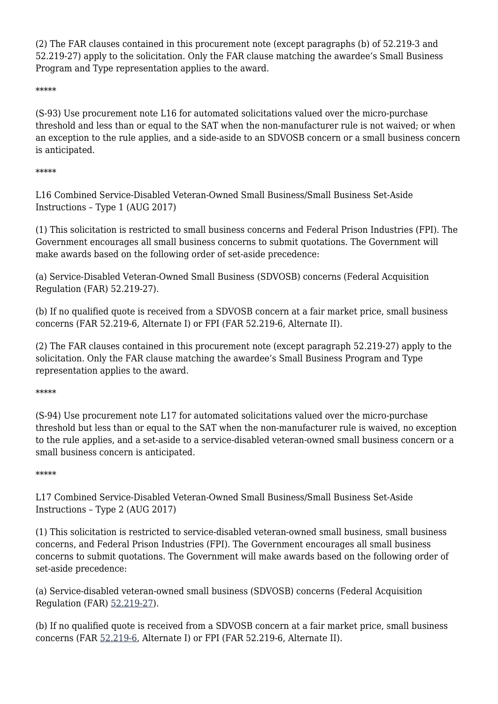(2) The FAR clauses contained in this procurement note (except paragraphs (b) of 52.219-3 and 52.219-27) apply to the solicitation. Only the FAR clause matching the awardee's Small Business Program and Type representation applies to the award.

\*\*\*\*\*

(S-93) Use procurement note L16 for automated solicitations valued over the micro-purchase threshold and less than or equal to the SAT when the non-manufacturer rule is not waived; or when an exception to the rule applies, and a side-aside to an SDVOSB concern or a small business concern is anticipated.

#### \*\*\*\*\*

L16 Combined Service-Disabled Veteran-Owned Small Business/Small Business Set-Aside Instructions – Type 1 (AUG 2017)

(1) This solicitation is restricted to small business concerns and Federal Prison Industries (FPI). The Government encourages all small business concerns to submit quotations. The Government will make awards based on the following order of set-aside precedence:

(a) Service-Disabled Veteran-Owned Small Business (SDVOSB) concerns (Federal Acquisition Regulation (FAR) 52.219-27).

(b) If no qualified quote is received from a SDVOSB concern at a fair market price, small business concerns (FAR 52.219-6, Alternate I) or FPI (FAR 52.219-6, Alternate II).

(2) The FAR clauses contained in this procurement note (except paragraph 52.219-27) apply to the solicitation. Only the FAR clause matching the awardee's Small Business Program and Type representation applies to the award.

\*\*\*\*\*

(S-94) Use procurement note L17 for automated solicitations valued over the micro-purchase threshold but less than or equal to the SAT when the non-manufacturer rule is waived, no exception to the rule applies, and a set-aside to a service-disabled veteran-owned small business concern or a small business concern is anticipated.

#### \*\*\*\*\*

L17 Combined Service-Disabled Veteran-Owned Small Business/Small Business Set-Aside Instructions – Type 2 (AUG 2017)

(1) This solicitation is restricted to service-disabled veteran-owned small business, small business concerns, and Federal Prison Industries (FPI). The Government encourages all small business concerns to submit quotations. The Government will make awards based on the following order of set-aside precedence:

(a) Service-disabled veteran-owned small business (SDVOSB) concerns (Federal Acquisition Regulation (FAR) [52.219-27](https://www.acquisition.gov/%5Brp:link:far_dita-part-52%5D#P1460_245059)).

(b) If no qualified quote is received from a SDVOSB concern at a fair market price, small business concerns (FAR [52.219-6,](https://www.acquisition.gov/%5Brp:link:far_dita-part-52%5D#P1109_186464) Alternate I) or FPI (FAR 52.219-6, Alternate II).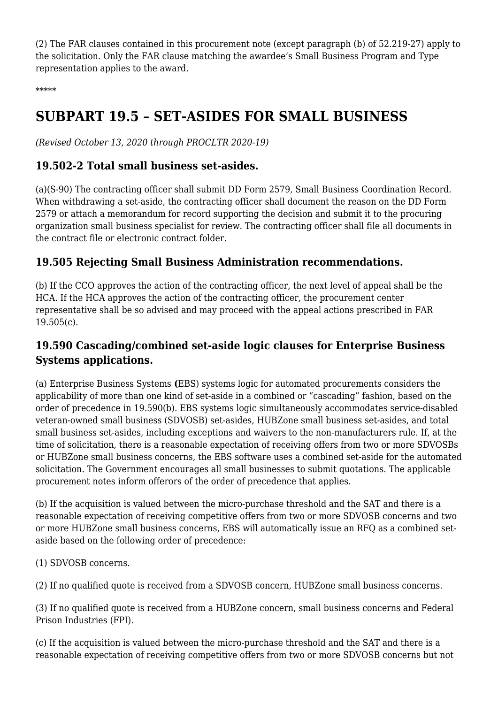(2) The FAR clauses contained in this procurement note (except paragraph (b) of 52.219-27) apply to the solicitation. Only the FAR clause matching the awardee's Small Business Program and Type representation applies to the award.

\*\*\*\*\*

## **SUBPART 19.5 – SET-ASIDES FOR SMALL BUSINESS**

*(Revised October 13, 2020 through PROCLTR 2020-19)*

### **19.502-2 Total small business set-asides.**

(a)(S-90) The contracting officer shall submit DD Form 2579, Small Business Coordination Record. When withdrawing a set-aside, the contracting officer shall document the reason on the DD Form 2579 or attach a memorandum for record supporting the decision and submit it to the procuring organization small business specialist for review. The contracting officer shall file all documents in the contract file or electronic contract folder.

### **19.505 Rejecting Small Business Administration recommendations.**

(b) If the CCO approves the action of the contracting officer, the next level of appeal shall be the HCA. If the HCA approves the action of the contracting officer, the procurement center representative shall be so advised and may proceed with the appeal actions prescribed in FAR 19.505(c).

### **19.590 Cascading/combined set-aside logic clauses for Enterprise Business Systems applications.**

(a) Enterprise Business Systems **(**EBS) systems logic for automated procurements considers the applicability of more than one kind of set-aside in a combined or "cascading" fashion, based on the order of precedence in 19.590(b). EBS systems logic simultaneously accommodates service-disabled veteran-owned small business (SDVOSB) set-asides, HUBZone small business set-asides, and total small business set-asides, including exceptions and waivers to the non-manufacturers rule. If, at the time of solicitation, there is a reasonable expectation of receiving offers from two or more SDVOSBs or HUBZone small business concerns, the EBS software uses a combined set-aside for the automated solicitation. The Government encourages all small businesses to submit quotations. The applicable procurement notes inform offerors of the order of precedence that applies.

(b) If the acquisition is valued between the micro-purchase threshold and the SAT and there is a reasonable expectation of receiving competitive offers from two or more SDVOSB concerns and two or more HUBZone small business concerns, EBS will automatically issue an RFQ as a combined setaside based on the following order of precedence:

(1) SDVOSB concerns.

(2) If no qualified quote is received from a SDVOSB concern, HUBZone small business concerns.

(3) If no qualified quote is received from a HUBZone concern, small business concerns and Federal Prison Industries (FPI).

(c) If the acquisition is valued between the micro-purchase threshold and the SAT and there is a reasonable expectation of receiving competitive offers from two or more SDVOSB concerns but not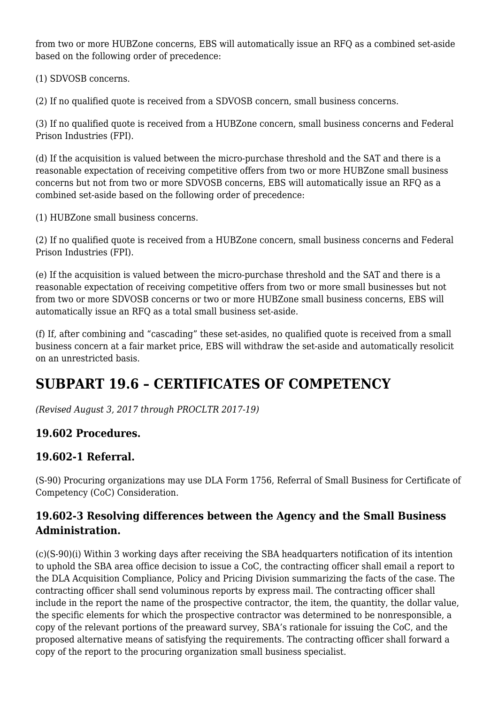from two or more HUBZone concerns, EBS will automatically issue an RFQ as a combined set-aside based on the following order of precedence:

(1) SDVOSB concerns.

(2) If no qualified quote is received from a SDVOSB concern, small business concerns.

(3) If no qualified quote is received from a HUBZone concern, small business concerns and Federal Prison Industries (FPI).

(d) If the acquisition is valued between the micro-purchase threshold and the SAT and there is a reasonable expectation of receiving competitive offers from two or more HUBZone small business concerns but not from two or more SDVOSB concerns, EBS will automatically issue an RFQ as a combined set-aside based on the following order of precedence:

(1) HUBZone small business concerns.

(2) If no qualified quote is received from a HUBZone concern, small business concerns and Federal Prison Industries (FPI).

(e) If the acquisition is valued between the micro-purchase threshold and the SAT and there is a reasonable expectation of receiving competitive offers from two or more small businesses but not from two or more SDVOSB concerns or two or more HUBZone small business concerns, EBS will automatically issue an RFQ as a total small business set-aside.

(f) If, after combining and "cascading" these set-asides, no qualified quote is received from a small business concern at a fair market price, EBS will withdraw the set-aside and automatically resolicit on an unrestricted basis.

## **SUBPART 19.6 – CERTIFICATES OF COMPETENCY**

*(Revised August 3, 2017 through PROCLTR 2017-19)*

## **19.602 Procedures.**

## **19.602-1 Referral.**

(S-90) Procuring organizations may use DLA Form 1756, Referral of Small Business for Certificate of Competency (CoC) Consideration.

### **19.602-3 Resolving differences between the Agency and the Small Business Administration.**

(c)(S-90)(i) Within 3 working days after receiving the SBA headquarters notification of its intention to uphold the SBA area office decision to issue a CoC, the contracting officer shall email a report to the DLA Acquisition Compliance, Policy and Pricing Division summarizing the facts of the case. The contracting officer shall send voluminous reports by express mail. The contracting officer shall include in the report the name of the prospective contractor, the item, the quantity, the dollar value, the specific elements for which the prospective contractor was determined to be nonresponsible, a copy of the relevant portions of the preaward survey, SBA's rationale for issuing the CoC, and the proposed alternative means of satisfying the requirements. The contracting officer shall forward a copy of the report to the procuring organization small business specialist.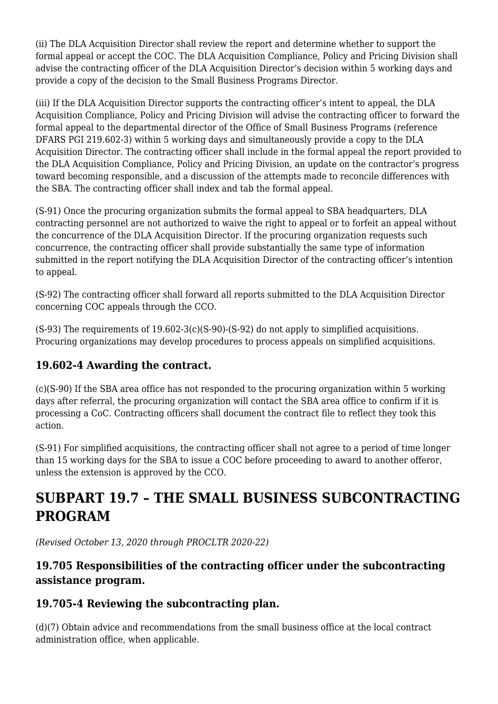(ii) The DLA Acquisition Director shall review the report and determine whether to support the formal appeal or accept the COC. The DLA Acquisition Compliance, Policy and Pricing Division shall advise the contracting officer of the DLA Acquisition Director's decision within 5 working days and provide a copy of the decision to the Small Business Programs Director.

(iii) If the DLA Acquisition Director supports the contracting officer's intent to appeal, the DLA Acquisition Compliance, Policy and Pricing Division will advise the contracting officer to forward the formal appeal to the departmental director of the Office of Small Business Programs (reference DFARS PGI 219.602‑3) within 5 working days and simultaneously provide a copy to the DLA Acquisition Director. The contracting officer shall include in the formal appeal the report provided to the DLA Acquisition Compliance, Policy and Pricing Division, an update on the contractor's progress toward becoming responsible, and a discussion of the attempts made to reconcile differences with the SBA. The contracting officer shall index and tab the formal appeal.

(S-91) Once the procuring organization submits the formal appeal to SBA headquarters, DLA contracting personnel are not authorized to waive the right to appeal or to forfeit an appeal without the concurrence of the DLA Acquisition Director. If the procuring organization requests such concurrence, the contracting officer shall provide substantially the same type of information submitted in the report notifying the DLA Acquisition Director of the contracting officer's intention to appeal.

(S-92) The contracting officer shall forward all reports submitted to the DLA Acquisition Director concerning COC appeals through the CCO.

 $(S-93)$  The requirements of 19.602-3(c)(S-90)-(S-92) do not apply to simplified acquisitions. Procuring organizations may develop procedures to process appeals on simplified acquisitions.

## **19.602-4 Awarding the contract.**

(c)(S-90) If the SBA area office has not responded to the procuring organization within 5 working days after referral, the procuring organization will contact the SBA area office to confirm if it is processing a CoC. Contracting officers shall document the contract file to reflect they took this action.

(S-91) For simplified acquisitions, the contracting officer shall not agree to a period of time longer than 15 working days for the SBA to issue a COC before proceeding to award to another offeror, unless the extension is approved by the CCO.

## **SUBPART 19.7 – THE SMALL BUSINESS SUBCONTRACTING PROGRAM**

*(Revised October 13, 2020 through PROCLTR 2020-22)*

## **19.705 Responsibilities of the contracting officer under the subcontracting assistance program.**

## **19.705-4 Reviewing the subcontracting plan.**

(d)(7) Obtain advice and recommendations from the small business office at the local contract administration office, when applicable.